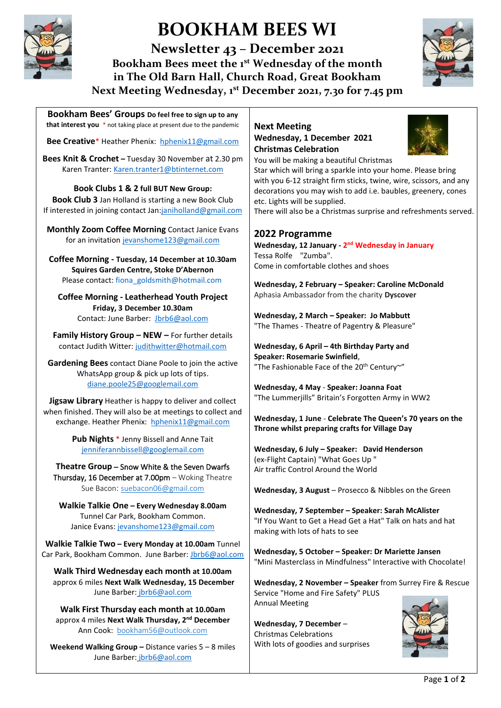

# **BOOKHAM BEES WI**

**Newsletter 43 – December 2021 Bookham Bees meet the 1st Wednesday of the month in The Old Barn Hall, Church Road, Great Bookham Next Meeting Wednesday, 1 st December 2021, 7.30 for 7.45 pm**

**Bookham Bees' Groups Do feel free to sign up to any that interest you** \* not taking place at present due to the pandemic

**Bee Creative**\* Heather Phenix: [hphenix11@gmail.com](mailto:hphenix11@gmail.com)

**Bees Knit & Crochet –** Tuesday 30 November at 2.30 pm Karen Tranter: [Karen.tranter1@btinternet.com](mailto:Karen.tranter1@btinternet.com)

**Book Clubs 1 & 2 full BUT New Group: Book Club 3** Jan Holland is starting a new Book Club If interested in joining contact Ja[n:janiholland@gmail.com](mailto:janiholland@gmail.com)

**Monthly Zoom Coffee Morning** Contact Janice Evans for an invitatio[n jevanshome123@gmail.com](mailto:jevanshome123@gmail.com)

**Coffee Morning - Tuesday, 14 December at 10.30am Squires Garden Centre, Stoke D'Abernon**  Please contact[: fiona\\_goldsmith@hotmail.com](mailto:fiona_goldsmith@hotmail.com)

**Coffee Morning - Leatherhead Youth Project Friday, 3 December 10.30am**  Contact: June Barber: [Jbrb6@aol.com](mailto:Jbrb6@aol.com)

**Family History Group – NEW –** For further details contact Judith Witter: [judithwitter@hotmail.com](mailto:judithwitter@hotmail.com)

**Gardening Bees** contact Diane Poole to join the active WhatsApp group & pick up lots of tips. [diane.poole25@googlemail.com](mailto:diane.poole25@googlemail.com)

**Jigsaw Library** Heather is happy to deliver and collect when finished. They will also be at meetings to collect and exchange. Heather Phenix: [hphenix11@gmail.com](mailto:hphenix11@gmail.com)

> **Pub Nights** \* Jenny Bissell and Anne Tait [jenniferannbissell@googlemail.com](mailto:jenniferannbissell@googlemail.com)

**Theatre Group** – Snow White & the Seven Dwarfs Thursday, 16 December at 7.00pm – Woking Theatre Sue Bacon: [suebacon06@gmail.com](mailto:suebacon06@gmail.com)

**Walkie Talkie One – Every Wednesday 8.00am** Tunnel Car Park, Bookham Common. Janice Evans: [jevanshome123@gmail.com](mailto:jevanshome123@gmail.com)

**Walkie Talkie Two – Every Monday at 10.00am** Tunnel Car Park, Bookham Common. June Barber[: Jbrb6@aol.com](mailto:Jbrb6@aol.com)

**Walk Third Wednesday each month at 10.00am** approx 6 miles **Next Walk Wednesday, 15 December** June Barber: [jbrb6@aol.com](mailto:jbrb6@aol.com)

**Walk First Thursday each month at 10.00am** approx 4 miles **Next Walk Thursday, 2 nd December** Ann Cook: [bookham56@outlook.com](mailto:bookham56@outlook.com)

**Weekend Walking Group –** Distance varies 5 – 8 miles June Barber: [jbrb6@aol.com](mailto:jbrb6@aol.com)

#### **Next Meeting Wednesday, 1 December 2021 Christmas Celebration** You will be making a beautiful Christmas



Star which will bring a sparkle into your home. Please bring with you 6-12 straight firm sticks, twine, wire, scissors, and any decorations you may wish to add i.e. baubles, greenery, cones etc. Lights will be supplied.

There will also be a Christmas surprise and refreshments served.

#### **2022 Programme**

Wednesday, 12 January - 2<sup>nd</sup> Wednesday in January Tessa Rolfe "Zumba". Come in comfortable clothes and shoes

**Wednesday, 2 February – Speaker: Caroline McDonald** Aphasia Ambassador from the charity **Dyscover**

**Wednesday, 2 March – Speaker: Jo Mabbutt** "The Thames - Theatre of Pagentry & Pleasure"

**Wednesday, 6 April – 4th Birthday Party and Speaker: Rosemarie Swinfield**, "The Fashionable Face of the 20<sup>th</sup> Century~"

**Wednesday, 4 May** - **Speaker: Joanna Foat** "The Lummerjills" Britain's Forgotten Army in WW2

**Wednesday, 1 June** - **Celebrate The Queen's 70 years on the Throne whilst preparing crafts for Village Day**

**Wednesday, 6 July – Speaker: David Henderson** (ex-Flight Captain) "What Goes Up " Air traffic Control Around the World

**Wednesday, 3 August** – Prosecco & Nibbles on the Green

**Wednesday, 7 September – Speaker: Sarah McAlister** "If You Want to Get a Head Get a Hat" Talk on hats and hat making with lots of hats to see

**Wednesday, 5 October – Speaker: Dr Mariette Jansen** "Mini Masterclass in Mindfulness" Interactive with Chocolate!

**Wednesday, 2 November – Speaker** from Surrey Fire & Rescue Service "Home and Fire Safety" PLUS Annual Meeting

**Wednesday, 7 December** – Christmas Celebrations With lots of goodies and surprises